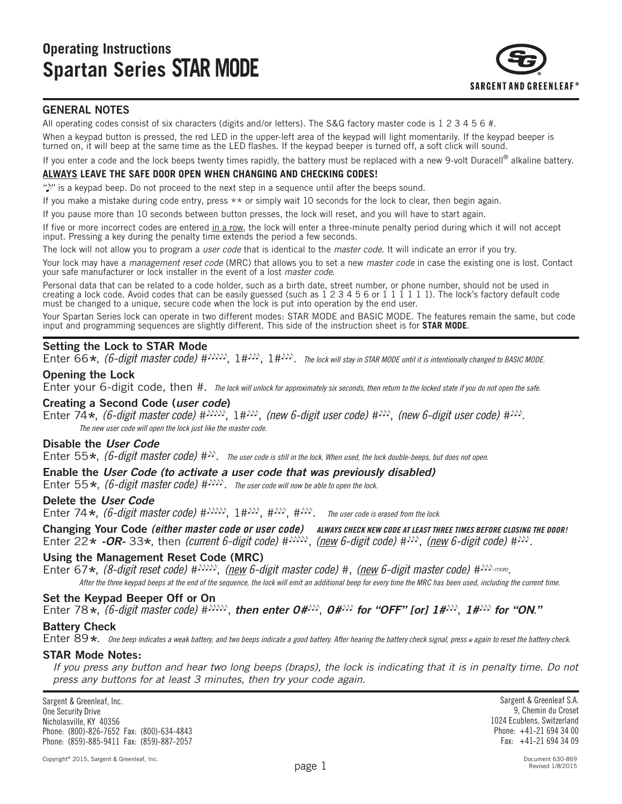# **Operating Instructions Spartan Series STAR MODE**



## **GENERAL NOTES**

All operating codes consist of six characters (digits and/or letters). The S&G factory master code is 1 2 3 4 5 6 #.

When a keypad button is pressed, the red LED in the upper-left area of the keypad will light momentarily. If the keypad beeper is turned on, it will beep at the same time as the LED flashes. If the keypad beeper is turned off, a soft click will sound.

If you enter a code and the lock beeps twenty times rapidly, the battery must be replaced with a new 9-volt Duracell® alkaline battery.

## **ALWAYS LEAVE THE SAFE DOOR OPEN WHEN CHANGING AND CHECKING CODES!**

" $\mathbf{I}$ " is a keypad beep. Do not proceed to the next step in a sequence until after the beeps sound.

If you make a mistake during code entry, press \*\* or simply wait 10 seconds for the lock to clear, then begin again.

If you pause more than 10 seconds between button presses, the lock will reset, and you will have to start again.

If five or more incorrect codes are entered in a row, the lock will enter a three-minute penalty period during which it will not accept input. Pressing a key during the penalty time extends the period a few seconds.

The lock will not allow you to program a *user code* that is identical to the *master code*. It will indicate an error if you try.

Your lock may have a *management reset code* (MRC) that allows you to set a new *master code* in case the existing one is lost. Contact your safe manufacturer or lock installer in the event of a lost *master code*.

Personal data that can be related to a code holder, such as a birth date, street number, or phone number, should not be used in creating a lock code. Avoid codes that can be easily guessed (such as  $1 \ 2 \ 3 \ 4 \ 5 \ 6 \$  or  $1 \ 1 \ 1 \ 1 \ 1 \ 1$ ). The lock's factory default code must be changed to a unique, secure code when the lock is put into operation by the end user.

Your Spartan Series lock can operate in two different modes: STAR MODE and BASIC MODE. The features remain the same, but code input and programming sequences are slightly different. This side of the instruction sheet is for **STAR MODE**.

## **Setting the Lock to STAR Mode**

Enter  $\overline{66}$ \*, *(6-digit master code)*  $\#$ <sup> $\rho$ *p<sub>p</sub>*,  $1\#$ *pp<sub>p</sub>*. The lock will stay in STAR MODE until it is intentionally changed to BASIC MODE.</sup>

## **Opening the Lock**

Enter your 6-digit code, then #. *The lock will unlock for approximately six seconds, then return to the locked state if you do not open the safe.*

## **Creating a Second Code (***user code***)**

Enter 74\*, *(6-digit master code)* #*phon,* 1#php, *(new 6-digit user code)* #ppp, *(new 6-digit user code)* #ppp. *The new user code will open the lock just like the master code.*

## **Disable the** *User Code*

Enter 55 $\star$ , (6-digit master code)  $\sharp^{D}$ . The user code is still in the lock. When used, the lock double-beeps, but does not open.

## **Enable the** *User Code (to activate a user code that was previously disabled)*

Enter 55\*, (6-digit master code)  $\#$ <sup>pppp</sup>. The user code will now be able to open the lock.

## **Delete the** *User Code*

Enter 74 $\star$ , (6-digit master code)  $\sharp^{DDD}$ ,  $1\sharp^{DD}$ ,  $\sharp^{DD}$ ,  $\sharp^{DD}$ ,  $\sharp^{DD}$ . *The user code is erased from the lock.* 

## Changing Your Code *(either master code or user code) ALWAYS CHECK NEW CODE AT LEAST THREE TIMES BEFORE CLOSING THE DOOR!* Enter 22\* *-OR-* 33\*, then *(current 6-digit code)* #bbbb, *(new 6-digit code)* #bbb, *(new 6-digit code)* #bbb.

## **Using the Management Reset Code (MRC)**

Enter 67\*, *(8-digit reset code)* # $p$ , *(new 6-digit master code)* #, *(new 6-digit master code)* # $p$ ,  $p$ ,  $p$ 

*After the three keypad beeps at the end of the sequence, the lock will emit an additional beep for every time the MRC has been used, including the current time.*

## **Set the Keypad Beeper Off or On**

Enter 78 $\star$ , *(6-digit master code)* # $\delta$ *kNNN*, then enter 0# $\delta$ *NN*, 0# $\delta$ *NN* for "OFF" [or] 1# $\delta$ N, 1# $\delta$ *N*, 1*t* (ON."

## **Battery Check**

Enter 89 $\star$ . One beep indicates a weak battery, and two beeps indicate a good battery. After hearing the battery check signal, press  $\star$  again to reset the battery check.

## **STAR Mode Notes:**

 *If you press any button and hear two long beeps (braps), the lock is indicating that it is in penalty time. Do not press any buttons for at least 3 minutes, then try your code again.*

Sargent & Greenleaf S.A.